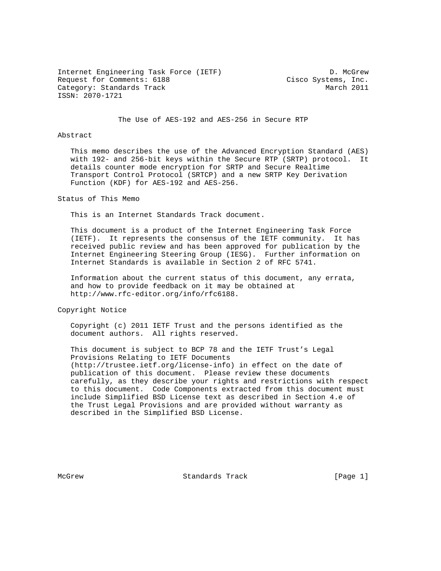Internet Engineering Task Force (IETF) D. McGrew Request for Comments: 6188 Cisco Systems, Inc. Category: Standards Track March 2011 ISSN: 2070-1721

The Use of AES-192 and AES-256 in Secure RTP

# Abstract

 This memo describes the use of the Advanced Encryption Standard (AES) with 192- and 256-bit keys within the Secure RTP (SRTP) protocol. It details counter mode encryption for SRTP and Secure Realtime Transport Control Protocol (SRTCP) and a new SRTP Key Derivation Function (KDF) for AES-192 and AES-256.

### Status of This Memo

This is an Internet Standards Track document.

 This document is a product of the Internet Engineering Task Force (IETF). It represents the consensus of the IETF community. It has received public review and has been approved for publication by the Internet Engineering Steering Group (IESG). Further information on Internet Standards is available in Section 2 of RFC 5741.

 Information about the current status of this document, any errata, and how to provide feedback on it may be obtained at http://www.rfc-editor.org/info/rfc6188.

Copyright Notice

 Copyright (c) 2011 IETF Trust and the persons identified as the document authors. All rights reserved.

 This document is subject to BCP 78 and the IETF Trust's Legal Provisions Relating to IETF Documents (http://trustee.ietf.org/license-info) in effect on the date of publication of this document. Please review these documents carefully, as they describe your rights and restrictions with respect to this document. Code Components extracted from this document must include Simplified BSD License text as described in Section 4.e of the Trust Legal Provisions and are provided without warranty as described in the Simplified BSD License.

McGrew **Standards Track** [Page 1]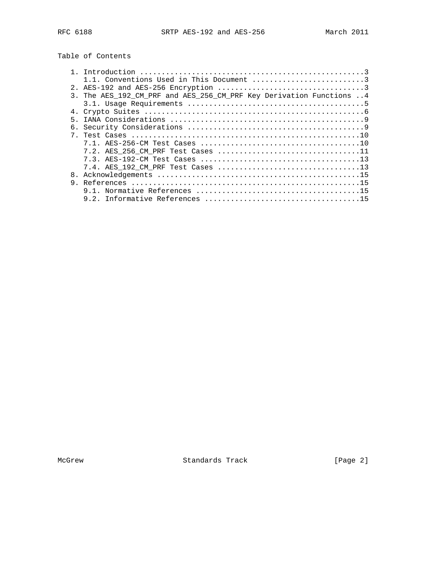# Table of Contents

|   | 1.1. Conventions Used in This Document 3                             |
|---|----------------------------------------------------------------------|
|   |                                                                      |
|   | 3. The AES 192 CM PRF and AES 256 CM PRF Key Derivation Functions  4 |
|   |                                                                      |
|   |                                                                      |
| 5 |                                                                      |
|   |                                                                      |
|   |                                                                      |
|   |                                                                      |
|   |                                                                      |
|   |                                                                      |
|   |                                                                      |
|   |                                                                      |
|   |                                                                      |
|   |                                                                      |
|   |                                                                      |

McGrew Standards Track [Page 2]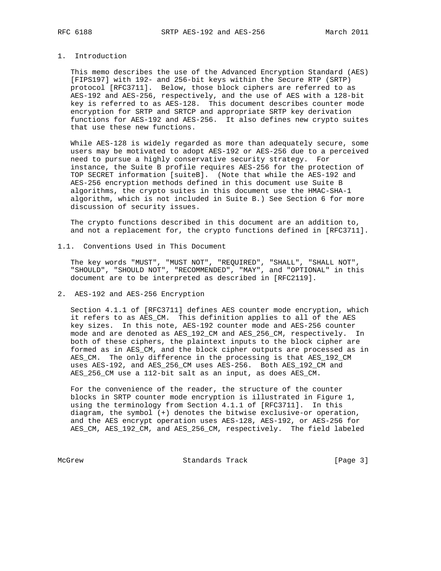# 1. Introduction

 This memo describes the use of the Advanced Encryption Standard (AES) [FIPS197] with 192- and 256-bit keys within the Secure RTP (SRTP) protocol [RFC3711]. Below, those block ciphers are referred to as AES-192 and AES-256, respectively, and the use of AES with a 128-bit key is referred to as AES-128. This document describes counter mode encryption for SRTP and SRTCP and appropriate SRTP key derivation functions for AES-192 and AES-256. It also defines new crypto suites that use these new functions.

 While AES-128 is widely regarded as more than adequately secure, some users may be motivated to adopt AES-192 or AES-256 due to a perceived need to pursue a highly conservative security strategy. For instance, the Suite B profile requires AES-256 for the protection of TOP SECRET information [suiteB]. (Note that while the AES-192 and AES-256 encryption methods defined in this document use Suite B algorithms, the crypto suites in this document use the HMAC-SHA-1 algorithm, which is not included in Suite B.) See Section 6 for more discussion of security issues.

 The crypto functions described in this document are an addition to, and not a replacement for, the crypto functions defined in [RFC3711].

1.1. Conventions Used in This Document

 The key words "MUST", "MUST NOT", "REQUIRED", "SHALL", "SHALL NOT", "SHOULD", "SHOULD NOT", "RECOMMENDED", "MAY", and "OPTIONAL" in this document are to be interpreted as described in [RFC2119].

2. AES-192 and AES-256 Encryption

 Section 4.1.1 of [RFC3711] defines AES counter mode encryption, which it refers to as AES\_CM. This definition applies to all of the AES key sizes. In this note, AES-192 counter mode and AES-256 counter mode and are denoted as AES\_192\_CM and AES\_256\_CM, respectively. In both of these ciphers, the plaintext inputs to the block cipher are formed as in AES\_CM, and the block cipher outputs are processed as in AES\_CM. The only difference in the processing is that AES\_192\_CM uses AES-192, and AES\_256\_CM uses AES-256. Both AES\_192\_CM and AES\_256\_CM use a 112-bit salt as an input, as does AES\_CM.

 For the convenience of the reader, the structure of the counter blocks in SRTP counter mode encryption is illustrated in Figure 1, using the terminology from Section 4.1.1 of [RFC3711]. In this diagram, the symbol (+) denotes the bitwise exclusive-or operation, and the AES encrypt operation uses AES-128, AES-192, or AES-256 for AES\_CM, AES\_192\_CM, and AES\_256\_CM, respectively. The field labeled

McGrew **Standards Track** [Page 3]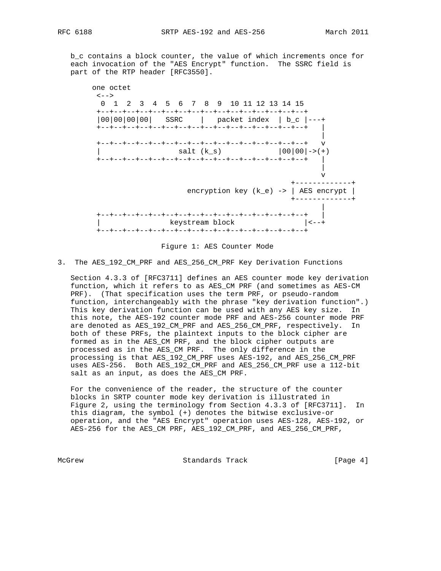b\_c contains a block counter, the value of which increments once for each invocation of the "AES Encrypt" function. The SSRC field is part of the RTP header [RFC3550].





3. The AES\_192\_CM\_PRF and AES\_256\_CM\_PRF Key Derivation Functions

 Section 4.3.3 of [RFC3711] defines an AES counter mode key derivation function, which it refers to as AES\_CM PRF (and sometimes as AES-CM PRF). (That specification uses the term PRF, or pseudo-random function, interchangeably with the phrase "key derivation function".) This key derivation function can be used with any AES key size. In this note, the AES-192 counter mode PRF and AES-256 counter mode PRF are denoted as AES\_192\_CM\_PRF and AES\_256\_CM\_PRF, respectively. In both of these PRFs, the plaintext inputs to the block cipher are formed as in the AES\_CM PRF, and the block cipher outputs are processed as in the AES\_CM PRF. The only difference in the processing is that AES\_192\_CM\_PRF uses AES-192, and AES\_256\_CM\_PRF uses AES-256. Both AES\_192\_CM\_PRF and AES\_256\_CM\_PRF use a 112-bit salt as an input, as does the AES\_CM PRF.

 For the convenience of the reader, the structure of the counter blocks in SRTP counter mode key derivation is illustrated in Figure 2, using the terminology from Section 4.3.3 of [RFC3711]. In this diagram, the symbol (+) denotes the bitwise exclusive-or operation, and the "AES Encrypt" operation uses AES-128, AES-192, or AES-256 for the AES\_CM PRF, AES\_192\_CM\_PRF, and AES\_256\_CM\_PRF,

McGrew **Standards Track** [Page 4]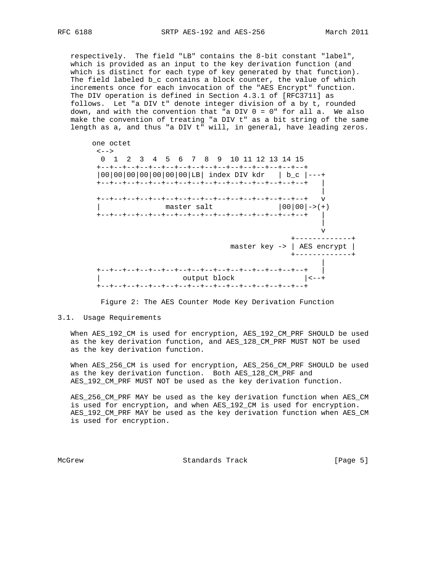respectively. The field "LB" contains the 8-bit constant "label", which is provided as an input to the key derivation function (and which is distinct for each type of key generated by that function). The field labeled b\_c contains a block counter, the value of which increments once for each invocation of the "AES Encrypt" function. The DIV operation is defined in Section 4.3.1 of [RFC3711] as follows. Let "a DIV t" denote integer division of a by t, rounded down, and with the convention that "a DIV  $0 = 0$ " for all a. We also make the convention of treating "a DIV t" as a bit string of the same length as a, and thus "a DIV t" will, in general, have leading zeros.



Figure 2: The AES Counter Mode Key Derivation Function

# 3.1. Usage Requirements

 When AES\_192\_CM is used for encryption, AES\_192\_CM\_PRF SHOULD be used as the key derivation function, and AES\_128\_CM\_PRF MUST NOT be used as the key derivation function.

 When AES\_256\_CM is used for encryption, AES\_256\_CM\_PRF SHOULD be used as the key derivation function. Both AES\_128\_CM\_PRF and AES\_192\_CM\_PRF MUST NOT be used as the key derivation function.

 AES\_256\_CM\_PRF MAY be used as the key derivation function when AES\_CM is used for encryption, and when AES\_192\_CM is used for encryption. AES\_192\_CM\_PRF MAY be used as the key derivation function when AES\_CM is used for encryption.

McGrew **Standards Track** [Page 5]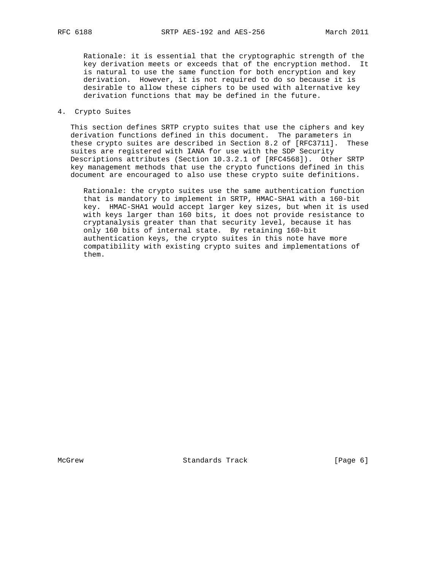Rationale: it is essential that the cryptographic strength of the key derivation meets or exceeds that of the encryption method. It is natural to use the same function for both encryption and key derivation. However, it is not required to do so because it is desirable to allow these ciphers to be used with alternative key derivation functions that may be defined in the future.

# 4. Crypto Suites

 This section defines SRTP crypto suites that use the ciphers and key derivation functions defined in this document. The parameters in these crypto suites are described in Section 8.2 of [RFC3711]. These suites are registered with IANA for use with the SDP Security Descriptions attributes (Section 10.3.2.1 of [RFC4568]). Other SRTP key management methods that use the crypto functions defined in this document are encouraged to also use these crypto suite definitions.

 Rationale: the crypto suites use the same authentication function that is mandatory to implement in SRTP, HMAC-SHA1 with a 160-bit key. HMAC-SHA1 would accept larger key sizes, but when it is used with keys larger than 160 bits, it does not provide resistance to cryptanalysis greater than that security level, because it has only 160 bits of internal state. By retaining 160-bit authentication keys, the crypto suites in this note have more compatibility with existing crypto suites and implementations of them.

McGrew Standards Track [Page 6]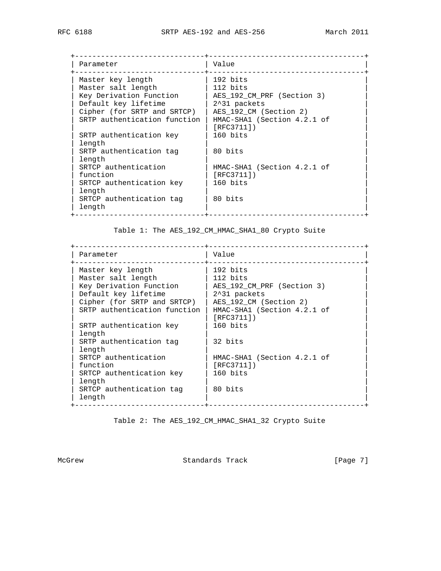+------------------------------+------------------------------------+ | Parameter | Value +------------------------------+------------------------------------+ | Master key length | 192 bits | | Master salt length | 112 bits | 112 million | Key Derivation Function | AES\_192\_CM\_PRF (Section 3) | | Default key lifetime | 2^31 packets | | Cipher (for SRTP and SRTCP) | AES\_192\_CM (Section 2) | | SRTP authentication function | HMAC-SHA1 (Section 4.2.1 of | | | [RFC3711]) | | [RFC3711])<br>| SRTP authentication key | 160 bits | length | | SRTP authentication tag  $| 80 \text{ bits}$  | length | |  $|\text{ SNTCP authentication}|\text{ HMAC-SHA1}$  (Section 4.2.1 of  $|\text{SRTCP}|\text{ and }|\text{SRTCP}|\text{ and }|\text{SRTCP}|\text{ and }|\text{SRTCP}|\text{ and }|\text{SRTCP}|\text{ and }|\text{SRTCP}|\text{ and }|\text{SRTCP}|\text{ and }|\text{SRTCP}|\text{ and }|\text{SRTCP}|\text{ and }|\text{SRTCP}|\text{ and }|\text{SRTCP}|\text{ and }|\text{SRTCP}|\text{ and }|\text{SRTCP}|\text{ and }|\text{SRTCP}|\text{ and }|\text{SRTCP}|\text{ and }|\text{$  | function | [RFC3711]) | SRTCP authentication key  $|$  160 bits | length | | SRTCP authentication tag | 80 bits | length | | +------------------------------+------------------------------------+

Table 1: The AES\_192\_CM\_HMAC\_SHA1\_80 Crypto Suite

 +------------------------------+------------------------------------+ | Parameter | Value +------------------------------+------------------------------------+ | Master key length | 192 bits | | Master salt length | 112 bits | 112 million | Key Derivation Function | AES\_192\_CM\_PRF (Section 3) | | Default key lifetime | 2^31 packets | | Cipher (for SRTP and SRTCP) | AES\_192\_CM (Section 2) | | SRTP authentication function | HMAC-SHA1 (Section 4.2.1 of | | | [RFC3711]) | | [RFC3711])<br>| SRTP authentication key | 160 bits | length | | SRTP authentication tag  $|$  32 bits | length | |  $\overline{)}$  HMAC-SHA1 (Section 4.2.1 of | function | [RFC3711]) | SRTCP authentication key  $| 160 \text{ bits}$  | length | | SRTCP authentication tag | 80 bits | length +------------------------------+------------------------------------+

Table 2: The AES\_192\_CM\_HMAC\_SHA1\_32 Crypto Suite

McGrew **Standards Track** [Page 7]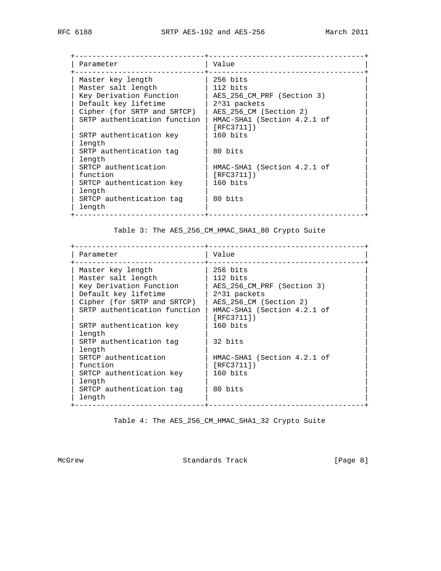+------------------------------+------------------------------------+ | Parameter | Value +------------------------------+------------------------------------+ | Master key length | 256 bits | | Master salt length | 112 bits | 112 million | Key Derivation Function | AES\_256\_CM\_PRF (Section 3) | | Default key lifetime | 2^31 packets | | Cipher (for SRTP and SRTCP) | AES\_256\_CM (Section 2) | | SRTP authentication function | HMAC-SHA1 (Section 4.2.1 of | | | [RFC3711]) | | [RFC3711])<br>| SRTP authentication key | 160 bits | length | | SRTP authentication tag  $| 80 \text{ bits}$  | length | |  $|\text{ SNTCP authentication}|\text{ HMAC-SHA1}$  (Section 4.2.1 of  $|\text{SRTCP}|\text{ and }|\text{SRTCP}|\text{ and }|\text{SRTCP}|\text{ and }|\text{SRTCP}|\text{ and }|\text{SRTCP}|\text{ and }|\text{SRTCP}|\text{ and }|\text{SRTCP}|\text{ and }|\text{SRTCP}|\text{ and }|\text{SRTCP}|\text{ and }|\text{SRTCP}|\text{ and }|\text{SRTCP}|\text{ and }|\text{SRTCP}|\text{ and }|\text{SRTCP}|\text{ and }|\text{SRTCP}|\text{ and }|\text{SRTCP}|\text{ and }|\text{$  | function | [RFC3711]) | SRTCP authentication key  $|$  160 bits | length | | SRTCP authentication tag | 80 bits | length | | +------------------------------+------------------------------------+

Table 3: The AES\_256\_CM\_HMAC\_SHA1\_80 Crypto Suite

 +------------------------------+------------------------------------+ | Parameter | Value +------------------------------+------------------------------------+ | Master key length | 256 bits | | Master salt length | 112 bits | 112 million | Key Derivation Function | AES\_256\_CM\_PRF (Section 3) | | Default key lifetime | 2^31 packets | | Cipher (for SRTP and SRTCP) | AES\_256\_CM (Section 2) | | SRTP authentication function | HMAC-SHA1 (Section 4.2.1 of | | | [RFC3711]) | | [RFC3711])<br>| SRTP authentication key | 160 bits | length | | SRTP authentication tag  $|$  32 bits | length | |  $\overline{)}$  HMAC-SHA1 (Section 4.2.1 of | function | [RFC3711]) | SRTCP authentication key  $| 160 \text{ bits}$  | length | | SRTCP authentication tag | 80 bits | length +------------------------------+------------------------------------+

Table 4: The AES\_256\_CM\_HMAC\_SHA1\_32 Crypto Suite

McGrew **Standards Track** [Page 8]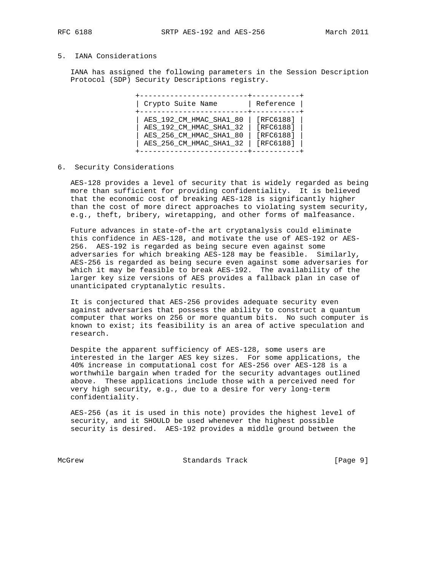# 5. IANA Considerations

 IANA has assigned the following parameters in the Session Description Protocol (SDP) Security Descriptions registry.

| Crypto Suite Name       | Reference |
|-------------------------|-----------|
| AES_192_CM_HMAC_SHA1_80 | [RFC6188] |
| AES 192 CM HMAC SHA1 32 | [RFC6188] |
| AES 256 CM HMAC SHA1 80 | [RFC6188] |
| AES_256_CM_HMAC_SHA1_32 | [RFC6188] |

#### 6. Security Considerations

 AES-128 provides a level of security that is widely regarded as being more than sufficient for providing confidentiality. It is believed that the economic cost of breaking AES-128 is significantly higher than the cost of more direct approaches to violating system security, e.g., theft, bribery, wiretapping, and other forms of malfeasance.

 Future advances in state-of-the art cryptanalysis could eliminate this confidence in AES-128, and motivate the use of AES-192 or AES- 256. AES-192 is regarded as being secure even against some adversaries for which breaking AES-128 may be feasible. Similarly, AES-256 is regarded as being secure even against some adversaries for which it may be feasible to break AES-192. The availability of the larger key size versions of AES provides a fallback plan in case of unanticipated cryptanalytic results.

 It is conjectured that AES-256 provides adequate security even against adversaries that possess the ability to construct a quantum computer that works on 256 or more quantum bits. No such computer is known to exist; its feasibility is an area of active speculation and research.

 Despite the apparent sufficiency of AES-128, some users are interested in the larger AES key sizes. For some applications, the 40% increase in computational cost for AES-256 over AES-128 is a worthwhile bargain when traded for the security advantages outlined above. These applications include those with a perceived need for very high security, e.g., due to a desire for very long-term confidentiality.

 AES-256 (as it is used in this note) provides the highest level of security, and it SHOULD be used whenever the highest possible security is desired. AES-192 provides a middle ground between the

McGrew Standards Track [Page 9]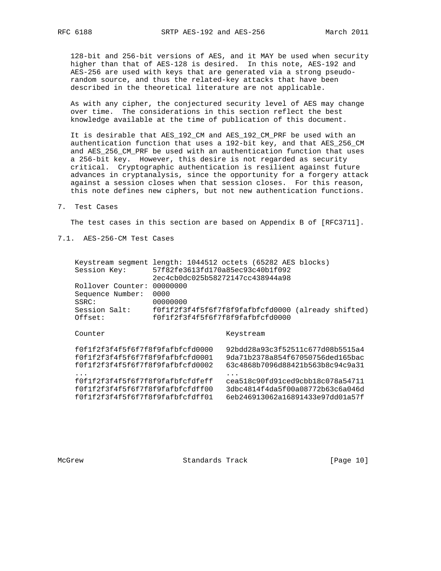128-bit and 256-bit versions of AES, and it MAY be used when security higher than that of AES-128 is desired. In this note, AES-192 and AES-256 are used with keys that are generated via a strong pseudo random source, and thus the related-key attacks that have been described in the theoretical literature are not applicable.

 As with any cipher, the conjectured security level of AES may change over time. The considerations in this section reflect the best knowledge available at the time of publication of this document.

 It is desirable that AES\_192\_CM and AES\_192\_CM\_PRF be used with an authentication function that uses a 192-bit key, and that AES\_256\_CM and AES\_256\_CM\_PRF be used with an authentication function that uses a 256-bit key. However, this desire is not regarded as security critical. Cryptographic authentication is resilient against future advances in cryptanalysis, since the opportunity for a forgery attack against a session closes when that session closes. For this reason, this note defines new ciphers, but not new authentication functions.

7. Test Cases

The test cases in this section are based on Appendix B of [RFC3711].

7.1. AES-256-CM Test Cases

| Keystream segment<br>Session Key:                                    | length: 1044512 octets (65282 AES blocks)<br>57f82fe3613fd170a85ec93c40b1f092<br>2ec4cb0dc025b58272147cc438944a98 |           |                                                                      |
|----------------------------------------------------------------------|-------------------------------------------------------------------------------------------------------------------|-----------|----------------------------------------------------------------------|
| Rollover Counter:                                                    | 00000000                                                                                                          |           |                                                                      |
| Sequence Number:<br>SSRC:                                            | 0000<br>00000000                                                                                                  |           |                                                                      |
| Session Salt:<br>Offset:                                             | f0f1f2f3f4f5f6f7f8f9fafbfcfd0000                                                                                  |           | f0f1f2f3f4f5f6f7f8f9fafbfcfd0000 (already shifted)                   |
|                                                                      |                                                                                                                   |           |                                                                      |
| Counter                                                              |                                                                                                                   | Keystream |                                                                      |
| f0f1f2f3f4f5f6f7f8f9fafbfcfd0000                                     |                                                                                                                   |           | 92bdd28a93c3f52511c677d08b5515a4                                     |
| f0f1f2f3f4f5f6f7f8f9fafbfcfd0001<br>f0f1f2f3f4f5f6f7f8f9fafbfcfd0002 |                                                                                                                   |           | 9da71b2378a854f67050756ded165bac<br>63c4868b7096d88421b563b8c94c9a31 |
| f0f1f2f3f4f5f6f7f8f9fafbfcfdfeff                                     |                                                                                                                   |           | cea518c90fd91ced9cbb18c078a54711                                     |
| f0f1f2f3f4f5f6f7f8f9fafbfcfdff00<br>f0f1f2f3f4f5f6f7f8f9fafbfcfdff01 |                                                                                                                   |           | 3dbc4814f4da5f00a08772b63c6a046d<br>6eb246913062a16891433e97dd01a57f |
|                                                                      |                                                                                                                   |           |                                                                      |

McGrew Standards Track [Page 10]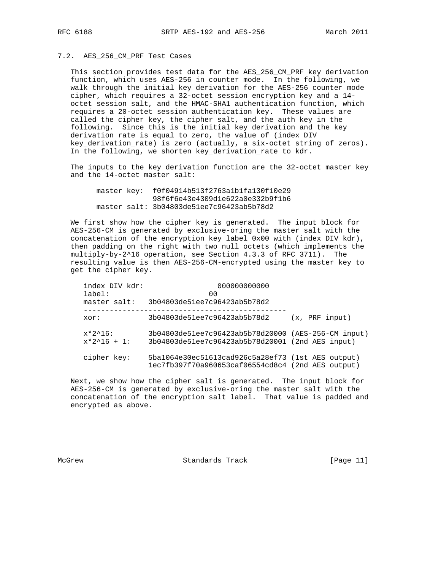# 7.2. AES\_256\_CM\_PRF Test Cases

 This section provides test data for the AES\_256\_CM\_PRF key derivation function, which uses AES-256 in counter mode. In the following, we walk through the initial key derivation for the AES-256 counter mode cipher, which requires a 32-octet session encryption key and a 14 octet session salt, and the HMAC-SHA1 authentication function, which requires a 20-octet session authentication key. These values are called the cipher key, the cipher salt, and the auth key in the following. Since this is the initial key derivation and the key derivation rate is equal to zero, the value of (index DIV key\_derivation\_rate) is zero (actually, a six-octet string of zeros). In the following, we shorten key\_derivation\_rate to kdr.

 The inputs to the key derivation function are the 32-octet master key and the 14-octet master salt:

 master key: f0f04914b513f2763a1b1fa130f10e29 98f6f6e43e4309d1e622a0e332b9f1b6 master salt: 3b04803de51ee7c96423ab5b78d2

 We first show how the cipher key is generated. The input block for AES-256-CM is generated by exclusive-oring the master salt with the concatenation of the encryption key label 0x00 with (index DIV kdr), then padding on the right with two null octets (which implements the multiply-by-2^16 operation, see Section 4.3.3 of RFC 3711). The resulting value is then AES-256-CM-encrypted using the master key to get the cipher key.

| index DIV kdr:<br>$label:1}$ :<br>master salt: | 000000000000<br>00<br>3b04803de51ee7c96423ab5b78d2                                                     |                    |
|------------------------------------------------|--------------------------------------------------------------------------------------------------------|--------------------|
| xor:                                           | 3b04803de51ee7c96423ab5b78d2                                                                           | (x, PRF input)     |
| $x*2^16$ :<br>$x*2^16 + 1$ :                   | 3b04803de51ee7c96423ab5b78d20000<br>3b04803de51ee7c96423ab5b78d20001 (2nd AES input)                   | (AES-256-CM input) |
| cipher key:                                    | 5ba1064e30ec51613cad926c5a28ef73 (1st AES output)<br>1ec7fb397f70a960653caf06554cd8c4 (2nd AES output) |                    |

 Next, we show how the cipher salt is generated. The input block for AES-256-CM is generated by exclusive-oring the master salt with the concatenation of the encryption salt label. That value is padded and encrypted as above.

McGrew Standards Track [Page 11]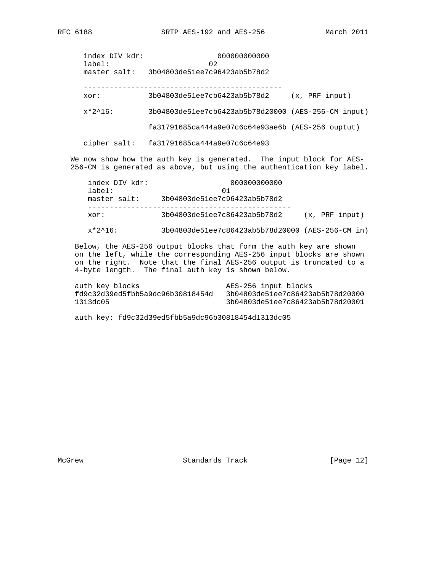index DIV kdr: 000000000000 label: 02 master salt: 3b04803de51ee7c96423ab5b78d2 --------------------------------------------- xor: 3b04803de51ee7cb6423ab5b78d2 (x, PRF input)

x\*2^16: 3b04803de51ee7cb6423ab5b78d20000 (AES-256-CM input)

fa31791685ca444a9e07c6c64e93ae6b (AES-256 ouptut)

cipher salt: fa31791685ca444a9e07c6c64e93

We now show how the auth key is generated. The input block for AES-256-CM is generated as above, but using the authentication key label.

| index DIV kdr:<br>$label:1}$ :<br>master salt: | 000000000000<br>01<br>3b04803de51ee7c96423ab5b78d2 |  |                |
|------------------------------------------------|----------------------------------------------------|--|----------------|
| xor:                                           | 3b04803de51ee7c86423ab5b78d2                       |  | (x, PRF input) |

x\*2^16: 3b04803de51ee7c86423ab5b78d20000 (AES-256-CM in)

 Below, the AES-256 output blocks that form the auth key are shown on the left, while the corresponding AES-256 input blocks are shown on the right. Note that the final AES-256 output is truncated to a 4-byte length. The final auth key is shown below.

 auth key blocks AES-256 input blocks fd9c32d39ed5fbb5a9dc96b30818454d 3b04803de51ee7c86423ab5b78d20000 1313dc05 3b04803de51ee7c86423ab5b78d20001

auth key: fd9c32d39ed5fbb5a9dc96b30818454d1313dc05

McGrew Standards Track [Page 12]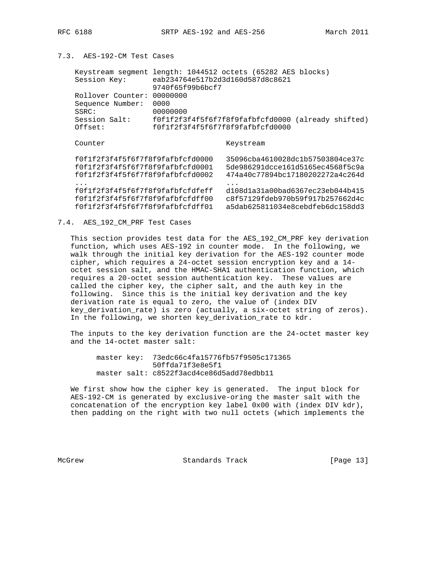# 7.3. AES-192-CM Test Cases

| Keystream segment length: 1044512 octets (65282 AES blocks)<br>Session Key:                              | eab234764e517b2d3d160d587d8c8621<br>9740f65f99b6bcf7                 |           |                                                                                                          |
|----------------------------------------------------------------------------------------------------------|----------------------------------------------------------------------|-----------|----------------------------------------------------------------------------------------------------------|
| Rollover Counter:<br>Sequence Number:<br>SSRC:                                                           | 00000000<br>0000<br>00000000                                         |           |                                                                                                          |
| Session Salt:<br>Offset:                                                                                 | f0f1f2f3f4f5f6f7f8f9fafbfcfd0000<br>f0f1f2f3f4f5f6f7f8f9fafbfcfd0000 |           | (already shifted)                                                                                        |
| Counter                                                                                                  |                                                                      | Keystream |                                                                                                          |
| f0f1f2f3f4f5f6f7f8f9fafbfcfd0000<br>f0f1f2f3f4f5f6f7f8f9fafbfcfd0001<br>f0f1f2f3f4f5f6f7f8f9fafbfcfd0002 |                                                                      |           | 35096cba4610028dc1b57503804ce37c<br>5de986291dcce161d5165ec4568f5c9a<br>474a40c77894bc17180202272a4c264d |
| f0f1f2f3f4f5f6f7f8f9fafbfcfdfeff<br>f0f1f2f3f4f5f6f7f8f9fafbfcfdff00<br>f0f1f2f3f4f5f6f7f8f9fafbfcfdff01 |                                                                      |           | d108d1a31a00bad6367ec23eb044b415<br>c8f57129fdeb970b59f917b257662d4c<br>a5dab625811034e8cebdfeb6dc158dd3 |

# 7.4. AES\_192\_CM\_PRF Test Cases

 This section provides test data for the AES\_192\_CM\_PRF key derivation function, which uses AES-192 in counter mode. In the following, we walk through the initial key derivation for the AES-192 counter mode cipher, which requires a 24-octet session encryption key and a 14 octet session salt, and the HMAC-SHA1 authentication function, which requires a 20-octet session authentication key. These values are called the cipher key, the cipher salt, and the auth key in the following. Since this is the initial key derivation and the key derivation rate is equal to zero, the value of (index DIV key\_derivation\_rate) is zero (actually, a six-octet string of zeros). In the following, we shorten key\_derivation\_rate to kdr.

 The inputs to the key derivation function are the 24-octet master key and the 14-octet master salt:

 master key: 73edc66c4fa15776fb57f9505c171365 50ffda71f3e8e5f1 master salt: c8522f3acd4ce86d5add78edbb11

 We first show how the cipher key is generated. The input block for AES-192-CM is generated by exclusive-oring the master salt with the concatenation of the encryption key label 0x00 with (index DIV kdr), then padding on the right with two null octets (which implements the

McGrew Standards Track [Page 13]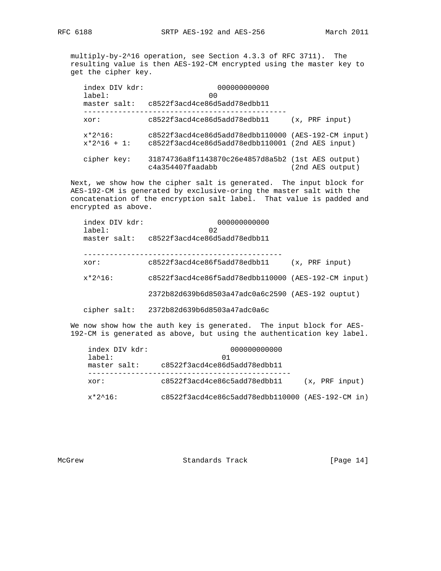multiply-by-2^16 operation, see Section 4.3.3 of RFC 3711). The resulting value is then AES-192-CM encrypted using the master key to get the cipher key.

| index DIV kdr:<br>$label:1}$ :<br>master salt: | 000000000000<br>00<br>c8522f3acd4ce86d5add78edbb11                                   |                    |
|------------------------------------------------|--------------------------------------------------------------------------------------|--------------------|
| xor:                                           | c8522f3acd4ce86d5add78edbb11                                                         | (x, PRF input)     |
| $x*2^16$ :<br>$x*2^16 + 1$ :                   | c8522f3acd4ce86d5add78edbb110000<br>c8522f3acd4ce86d5add78edbb110001 (2nd AES input) | (AES-192-CM input) |
| cipher key:                                    | 31874736a8f1143870c26e4857d8a5b2 (1st AES output)<br>c4a354407faadabb                | (2nd AES output)   |

 Next, we show how the cipher salt is generated. The input block for AES-192-CM is generated by exclusive-oring the master salt with the concatenation of the encryption salt label. That value is padded and encrypted as above.

| index DIV kdr:<br>label: | 000000000000<br>02                                  |                |
|--------------------------|-----------------------------------------------------|----------------|
| master salt:             | c8522f3acd4ce86d5add78edbb11                        |                |
| xor:                     | c8522f3acd4ce86f5add78edbb11                        | (x, PRF input) |
| $x*2^16$ :               | c8522f3acd4ce86f5add78edbb110000 (AES-192-CM input) |                |
|                          | 2372b82d639b6d8503a47adc0a6c2590 (AES-192 ouptut)   |                |
| cipher salt:             | 2372b82d639b6d8503a47adc0a6c                        |                |

We now show how the auth key is generated. The input block for AES-192-CM is generated as above, but using the authentication key label.

| index DIV kdr:         | 000000000000                                       |                |
|------------------------|----------------------------------------------------|----------------|
| label:<br>master salt: | 01<br>c8522f3acd4ce86d5add78edbb11                 |                |
| xor:                   | c8522f3acd4ce86c5add78edbb11                       | (x, PRF input) |
| $x*2^16$ :             | $c8522f3acd4ce86c5add78edbb110000 (AES-192-CM in)$ |                |

McGrew Standards Track [Page 14]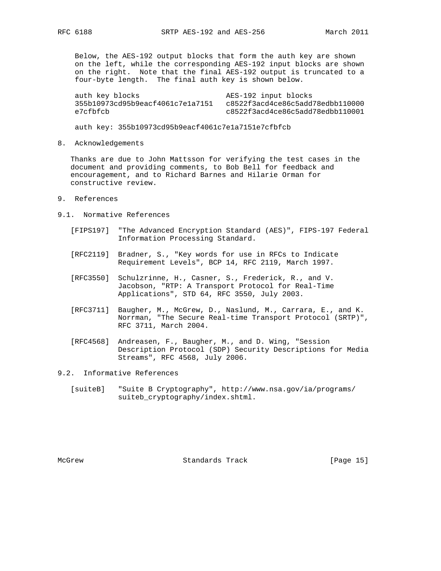Below, the AES-192 output blocks that form the auth key are shown on the left, while the corresponding AES-192 input blocks are shown on the right. Note that the final AES-192 output is truncated to a four-byte length. The final auth key is shown below.

auth key blocks authorisation and AES-192 input blocks 355b10973cd95b9eacf4061c7e1a7151 c8522f3acd4ce86c5add78edbb110000 e7cfbfcb c8522f3acd4ce86c5add78edbb110001

auth key: 355b10973cd95b9eacf4061c7e1a7151e7cfbfcb

8. Acknowledgements

 Thanks are due to John Mattsson for verifying the test cases in the document and providing comments, to Bob Bell for feedback and encouragement, and to Richard Barnes and Hilarie Orman for constructive review.

- 9. References
- 9.1. Normative References
	- [FIPS197] "The Advanced Encryption Standard (AES)", FIPS-197 Federal Information Processing Standard.
	- [RFC2119] Bradner, S., "Key words for use in RFCs to Indicate Requirement Levels", BCP 14, RFC 2119, March 1997.
	- [RFC3550] Schulzrinne, H., Casner, S., Frederick, R., and V. Jacobson, "RTP: A Transport Protocol for Real-Time Applications", STD 64, RFC 3550, July 2003.
	- [RFC3711] Baugher, M., McGrew, D., Naslund, M., Carrara, E., and K. Norrman, "The Secure Real-time Transport Protocol (SRTP)", RFC 3711, March 2004.
	- [RFC4568] Andreasen, F., Baugher, M., and D. Wing, "Session Description Protocol (SDP) Security Descriptions for Media Streams", RFC 4568, July 2006.
- 9.2. Informative References
	- [suiteB] "Suite B Cryptography", http://www.nsa.gov/ia/programs/ suiteb\_cryptography/index.shtml.

McGrew **Standards Track** [Page 15]